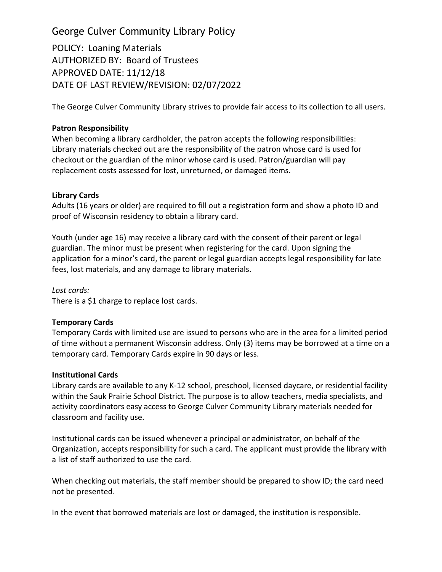# George Culver Community Library Policy

POLICY: Loaning Materials AUTHORIZED BY: Board of Trustees APPROVED DATE: 11/12/18 DATE OF LAST REVIEW/REVISION: 02/07/2022

The George Culver Community Library strives to provide fair access to its collection to all users.

## **Patron Responsibility**

When becoming a library cardholder, the patron accepts the following responsibilities: Library materials checked out are the responsibility of the patron whose card is used for checkout or the guardian of the minor whose card is used. Patron/guardian will pay replacement costs assessed for lost, unreturned, or damaged items.

## **Library Cards**

Adults (16 years or older) are required to fill out a registration form and show a photo ID and proof of Wisconsin residency to obtain a library card.

Youth (under age 16) may receive a library card with the consent of their parent or legal guardian. The minor must be present when registering for the card. Upon signing the application for a minor's card, the parent or legal guardian accepts legal responsibility for late fees, lost materials, and any damage to library materials.

*Lost cards:*

There is a \$1 charge to replace lost cards.

## **Temporary Cards**

Temporary Cards with limited use are issued to persons who are in the area for a limited period of time without a permanent Wisconsin address. Only (3) items may be borrowed at a time on a temporary card. Temporary Cards expire in 90 days or less.

## **Institutional Cards**

Library cards are available to any K-12 school, preschool, licensed daycare, or residential facility within the Sauk Prairie School District. The purpose is to allow teachers, media specialists, and activity coordinators easy access to George Culver Community Library materials needed for classroom and facility use.

Institutional cards can be issued whenever a principal or administrator, on behalf of the Organization, accepts responsibility for such a card. The applicant must provide the library with a list of staff authorized to use the card.

When checking out materials, the staff member should be prepared to show ID; the card need not be presented.

In the event that borrowed materials are lost or damaged, the institution is responsible.